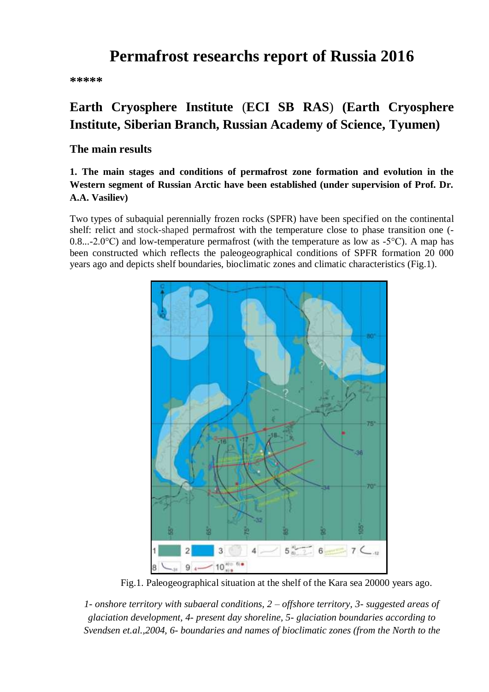# **Permafrost researchs report of Russia 2016**

**\*\*\*\*\***

# **Earth Cryosphere Institute** (**ECI SB RAS**) **(Earth Cryosphere Institute, Siberian Branch, Russian Academy of Science, Тyumen)**

### **The main results**

## **1. The main stages and conditions of permafrost zone formation and evolution in the Western segment of Russian Arctic have been established (under supervision of Prof. Dr. A.A. Vasiliev)**

Two types of subaquial perennially frozen rocks (SPFR) have been specified on the continental shelf: relict and stock-shaped permafrost with the temperature close to phase transition one (- 0.8...-2.0°C) and low-temperature permafrost (with the temperature as low as -5°C). A map has been constructed which reflects the paleogeographical conditions of SPFR formation 20 000 years ago and depicts shelf boundaries, bioclimatic zones and climatic characteristics (Fig.1).



Fig.1. Paleogeographical situation at the shelf of the Kara sea 20000 years ago.

*1- onshore territory with subaeral conditions, 2 – offshore territory, 3- suggested areas of glaciation development, 4- present day shoreline, 5- glaciation boundaries according to Svendsen et.al.,2004, 6- boundaries and names of bioclimatic zones (from the North to the*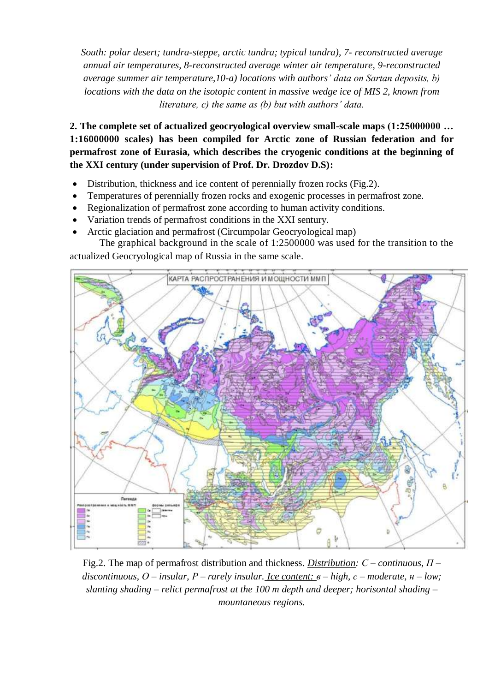*South: polar desert; tundra-steppe, arctic tundra; typical tundra), 7- reconstructed average annual air temperatures, 8-reconstructed average winter air temperature, 9-reconstructed average summer air temperature,10-a) locations with authors' data on Sartan deposits, b) locations with the data on the isotopic content in massive wedge ice of MIS 2, known from literature, c) the same as (b) but with authors' data.*

**2. The complete set of actualized geocryological overview small-scale maps (1:25000000 … 1:16000000 scales) has been compiled for Arctic zone of Russian federation and for permafrost zone of Eurasia, which describes the cryogenic conditions at the beginning of the XXI century (under supervision of Prof. Dr. Drozdov D.S):**

- Distribution, thickness and ice content of perennially frozen rocks (Fig.2).
- Temperatures of perennially frozen rocks and exogenic processes in permafrost zone.
- Regionalization of permafrost zone according to human activity conditions.
- Variation trends of permafrost conditions in the ХХI sentury.
- Arctic glaciation and permafrost (Circumpolar Geocryological map)

The graphical background in the scale of 1:2500000 was used for the transition to the actualized Geocryological map of Russia in the same scale.



Fig.2. The map of permafrost distribution and thickness. *Distribution: С – continuous, П – discontinuous, О – insular, Р – rarely insular. Ice content: в – high, с – moderate, н – low; slanting shading – relict permafrost at the 100 m depth and deeper; horisontal shading – mountaneous regions.*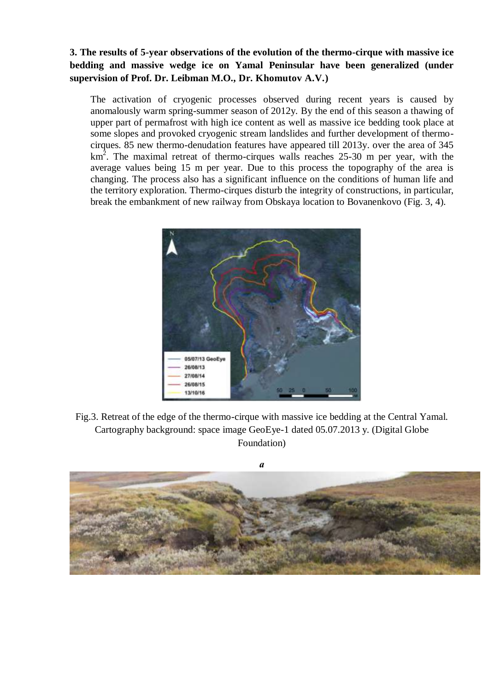## **3. The results of 5-year observations of the evolution of the thermo-cirque with massive ice bedding and massive wedge ice on Yamal Peninsular have been generalized (under supervision of Prof. Dr. Leibman M.O., Dr. Khomutov A.V.)**

The activation of cryogenic processes observed during recent years is caused by anomalously warm spring-summer season of 2012y. By the end of this season a thawing of upper part of permafrost with high ice content as well as massive ice bedding took place at some slopes and provoked cryogenic stream landslides and further development of thermocirques. 85 new thermo-denudation features have appeared till 2013y. over the area of 345  $km<sup>2</sup>$ . The maximal retreat of thermo-cirques walls reaches 25-30 m per year, with the average values being 15 m per year. Due to this process the topography of the area is changing. The process also has a significant influence on the conditions of human life and the territory exploration. Thermo-cirques disturb the integrity of constructions, in particular, break the embankment of new railway from Obskaya location to Bovanenkovo (Fig. 3, 4).



Fig.3. Retreat of the edge of the thermo-cirque with massive ice bedding at the Central Yamal. Cartography background: space image GeoEye-1 dated 05.07.2013 y. (Digital Globe Foundation)



*а*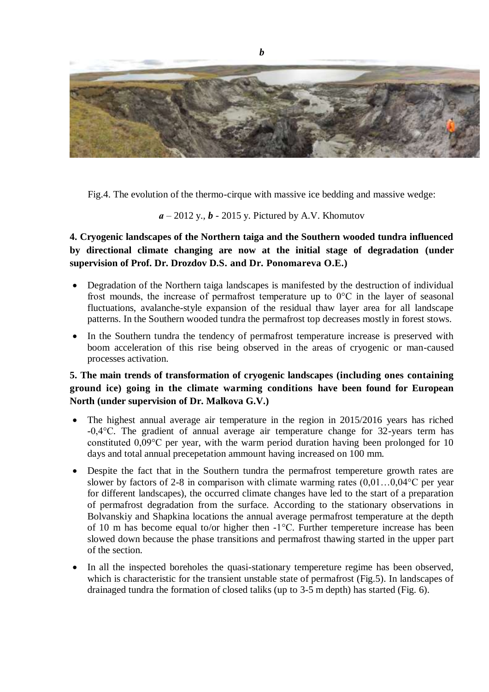

Fig.4. The evolution of the thermo-cirque with massive ice bedding and massive wedge:

*а* – 2012 y., *b* - 2015 y. Pictured by A.V. Khomutov

**4. Cryogenic landscapes of the Northern taiga and the Southern wooded tundra influenced by directional climate changing are now at the initial stage of degradation (under supervision of Prof. Dr. Drozdov D.S. and Dr. Ponomareva O.E.)**

- Degradation of the Northern taiga landscapes is manifested by the destruction of individual frost mounds, the increase of permafrost temperature up to 0°С in the layer of seasonal fluctuations, avalanche-style expansion of the residual thaw layer area for all landscape patterns. In the Southern wooded tundra the permafrost top decreases mostly in forest stows.
- In the Southern tundra the tendency of permafrost temperature increase is preserved with boom acceleration of this rise being observed in the areas of cryogenic or man-caused processes activation.

## **5. The main trends of transformation of cryogenic landscapes (including ones containing ground ice) going in the climate warming conditions have been found for European North (under supervision of Dr. Malkova G.V.)**

- The highest annual average air temperature in the region in 2015/2016 years has riched -0,4°С. The gradient of annual average air temperature change for 32-years term has constituted 0,09°С per year, with the warm period duration having been prolonged for 10 days and total annual precepetation ammount having increased on 100 mm.
- Despite the fact that in the Southern tundra the permafrost tempereture growth rates are slower by factors of 2-8 in comparison with climate warming rates  $(0.01...0.04^{\circ}C$  per year for different landscapes), the occurred climate changes have led to the start of a preparation of permafrost degradation from the surface. According to the stationary observations in Bolvanskiy and Shapkina locations the annual average permafrost temperature at the depth of 10 m has become equal to/or higher then -1°С. Further tempereture increase has been slowed down because the phase transitions and permafrost thawing started in the upper part of the section.
- In all the inspected boreholes the quasi-stationary tempereture regime has been observed, which is characteristic for the transient unstable state of permafrost (Fig.5). In landscapes of drainaged tundra the formation of closed taliks (up to 3-5 m depth) has started (Fig. 6).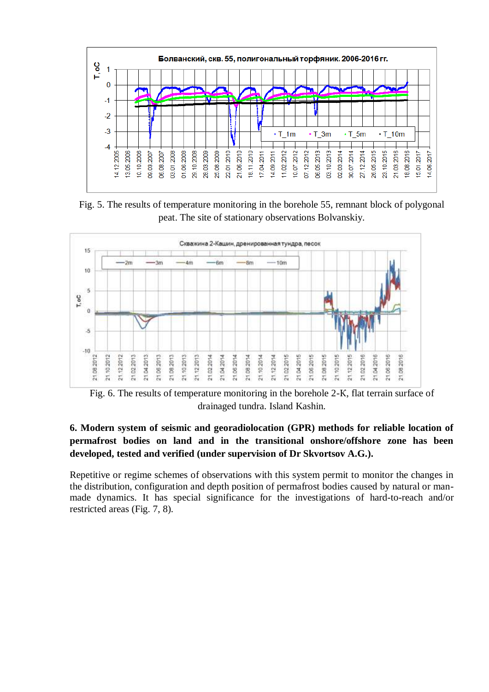

Fig. 5. The results of temperature monitoring in the borehole 55, remnant block of polygonal peat. The site of stationary observations Bolvanskiy.



Fig. 6. The results of temperature monitoring in the borehole 2-К, flat terrain surface of drainaged tundra. Island Kashin.

## **6. Modern system of seismic and georadiolocation (GPR) methods for reliable location of permafrost bodies on land and in the transitional onshore/offshore zone has been developed, tested and verified (under supervision of Dr Skvortsov A.G.).**

Repetitive or regime schemes of observations with this system permit to monitor the changes in the distribution, configuration and depth position of permafrost bodies caused by natural or manmade dynamics. It has special significance for the investigations of hard-to-reach and/or restricted areas (Fig. 7, 8).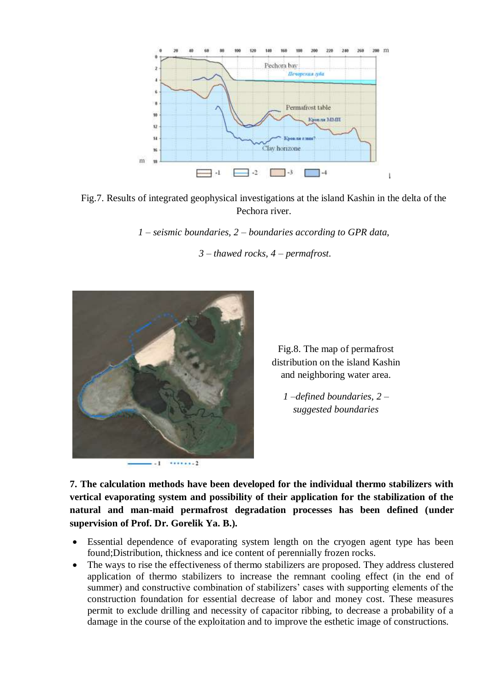

Fig.7. Results of integrated geophysical investigations at the island Kashin in the delta of the Pechora river.

*1 – seismic boundaries, 2 – boundaries according to GPR data,* 

*3 – thawed rocks, 4 – permafrost.*



Fig.8. The map of permafrost distribution on the island Kashin and neighboring water area.

*1 –defined boundaries, 2 – suggested boundaries*

**7. The calculation methods have been developed for the individual thermo stabilizers with vertical evaporating system and possibility of their application for the stabilization of the natural and man-maid permafrost degradation processes has been defined (under supervision of Prof. Dr. Gorelik Ya. B.).**

- Essential dependence of evaporating system length on the cryogen agent type has been found;Distribution, thickness and ice content of perennially frozen rocks.
- The ways to rise the effectiveness of thermo stabilizers are proposed. They address clustered application of thermo stabilizers to increase the remnant cooling effect (in the end of summer) and constructive combination of stabilizers' cases with supporting elements of the construction foundation for essential decrease of labor and money cost. These measures permit to exclude drilling and necessity of capacitor ribbing, to decrease a probability of a damage in the course of the exploitation and to improve the esthetic image of constructions.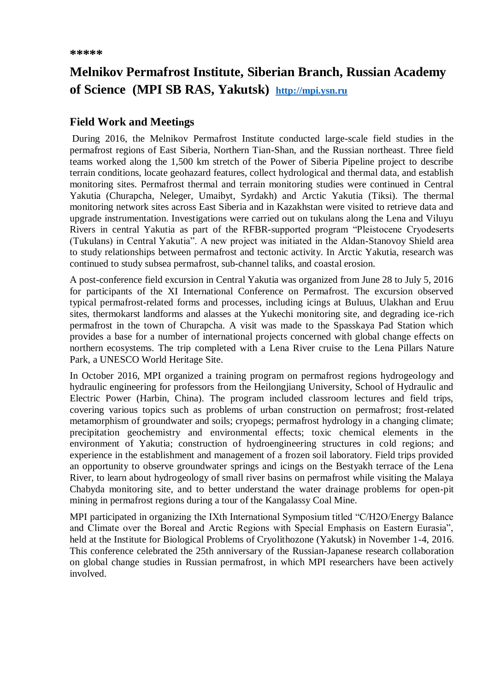# **Melnikov Permafrost Institute, Siberian Branch, Russian Academy of Science (MPI SB RAS, Yakutsk) [http://mpi.ysn.ru](http://mpi.ysn.ru/)**

### **Field Work and Meetings**

During 2016, the Melnikov Permafrost Institute conducted large-scale field studies in the permafrost regions of East Siberia, Northern Tian-Shan, and the Russian northeast. Three field teams worked along the 1,500 km stretch of the Power of Siberia Pipeline project to describe terrain conditions, locate geohazard features, collect hydrological and thermal data, and establish monitoring sites. Permafrost thermal and terrain monitoring studies were continued in Central Yakutia (Churapcha, Neleger, Umaibyt, Syrdakh) and Arctic Yakutia (Tiksi). The thermal monitoring network sites across East Siberia and in Kazakhstan were visited to retrieve data and upgrade instrumentation. Investigations were carried out on tukulans along the Lena and Viluyu Rivers in central Yakutia as part of the RFBR-supported program "Pleistocene Cryodeserts (Tukulans) in Central Yakutia". A new project was initiated in the Aldan-Stanovoy Shield area to study relationships between permafrost and tectonic activity. In Arctic Yakutia, research was continued to study subsea permafrost, sub-channel taliks, and coastal erosion.

A post-conference field excursion in Central Yakutia was organized from June 28 to July 5, 2016 for participants of the XI International Conference on Permafrost. The excursion observed typical permafrost-related forms and processes, including icings at Buluus, Ulakhan and Eruu sites, thermokarst landforms and alasses at the Yukechi monitoring site, and degrading ice-rich permafrost in the town of Churapcha. A visit was made to the Spasskaya Pad Station which provides a base for a number of international projects concerned with global change effects on northern ecosystems. The trip completed with a Lena River cruise to the Lena Pillars Nature Park, a UNESCO World Heritage Site.

In October 2016, MPI organized a training program on permafrost regions hydrogeology and hydraulic engineering for professors from the Heilongjiang University, School of Hydraulic and Electric Power (Harbin, China). The program included classroom lectures and field trips, covering various topics such as problems of urban construction on permafrost; frost-related metamorphism of groundwater and soils; cryopegs; permafrost hydrology in a changing climate; precipitation geochemistry and environmental effects; toxic chemical elements in the environment of Yakutia; construction of hydroengineering structures in cold regions; and experience in the establishment and management of a frozen soil laboratory. Field trips provided an opportunity to observe groundwater springs and icings on the Bestyakh terrace of the Lena River, to learn about hydrogeology of small river basins on permafrost while visiting the Malaya Chabyda monitoring site, and to better understand the water drainage problems for open-pit mining in permafrost regions during a tour of the Kangalassy Coal Mine.

MPI participated in organizing the IXth International Symposium titled "C/H2O/Energy Balance and Climate over the Boreal and Arctic Regions with Special Emphasis on Eastern Eurasia", held at the Institute for Biological Problems of Cryolithozone (Yakutsk) in November 1-4, 2016. This conference celebrated the 25th anniversary of the Russian-Japanese research collaboration on global change studies in Russian permafrost, in which MPI researchers have been actively involved.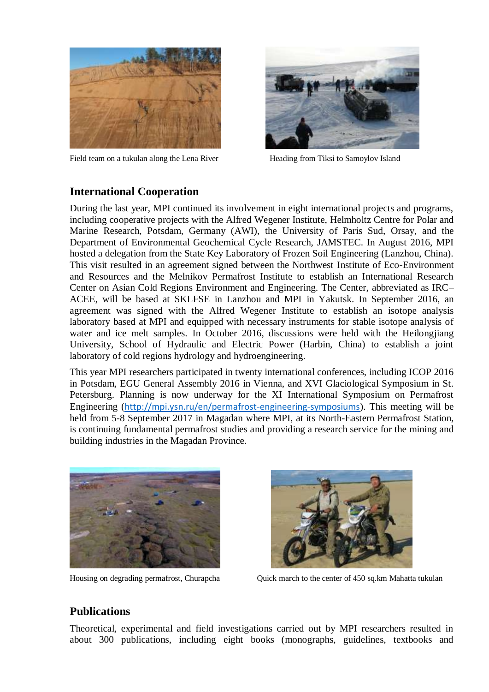

Field team on a tukulan along the Lena River **Heading from Tiksi to Samoylov Island** 



### **International Cooperation**

During the last year, MPI continued its involvement in eight international projects and programs, including cooperative projects with the Alfred Wegener Institute, Helmholtz Centre for Polar and Marine Research, Potsdam, Germany (AWI), the University of Paris Sud, Orsay, and the Department of Environmental Geochemical Cycle Research, JAMSTEC. In August 2016, MPI hosted a delegation from the State Key Laboratory of Frozen Soil Engineering (Lanzhou, China). This visit resulted in an agreement signed between the Northwest Institute of Eco-Environment and Resources and the Melnikov Permafrost Institute to establish an International Research Center on Asian Cold Regions Environment and Engineering. The Center, abbreviated as IRC– ACEE, will be based at SKLFSE in Lanzhou and MPI in Yakutsk. In September 2016, an agreement was signed with the Alfred Wegener Institute to establish an isotope analysis laboratory based at MPI and equipped with necessary instruments for stable isotope analysis of water and ice melt samples. In October 2016, discussions were held with the Heilongjiang University, School of Hydraulic and Electric Power (Harbin, China) to establish a joint laboratory of cold regions hydrology and hydroengineering.

This year MPI researchers participated in twenty international conferences, including ICOP 2016 in Potsdam, EGU General Assembly 2016 in Vienna, and XVI Glaciological Symposium in St. Petersburg. Planning is now underway for the XI International Symposium on Permafrost Engineering (<http://mpi.ysn.ru/en/permafrost-engineering-symposiums>). This meeting will be held from 5-8 September 2017 in Magadan where MPI, at its North-Eastern Permafrost Station, is continuing fundamental permafrost studies and providing a research service for the mining and building industries in the Magadan Province.





Housing on degrading permafrost, Churapcha Quick march to the center of 450 sq.km Mahatta tukulan

## **Publications**

Theoretical, experimental and field investigations carried out by MPI researchers resulted in about 300 publications, including eight books (monographs, guidelines, textbooks and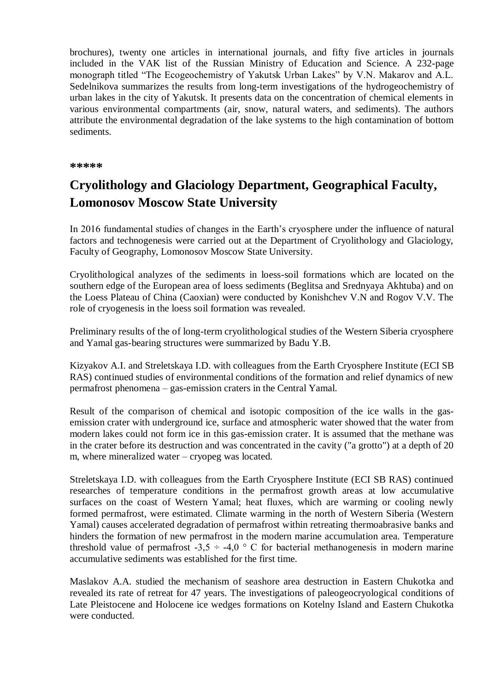brochures), twenty one articles in international journals, and fifty five articles in journals included in the VAK list of the Russian Ministry of Education and Science. A 232-page monograph titled "The Ecogeochemistry of Yakutsk Urban Lakes" by V.N. Makarov and A.L. Sedelnikova summarizes the results from long-term investigations of the hydrogeochemistry of urban lakes in the city of Yakutsk. It presents data on the concentration of chemical elements in various environmental compartments (air, snow, natural waters, and sediments). The authors attribute the environmental degradation of the lake systems to the high contamination of bottom sediments.

**\*\*\*\*\***

# **Cryolithology and Glaciology Department, Geographical Faculty, Lomonosov Moscow State University**

In 2016 fundamental studies of changes in the Earth's cryosphere under the influence of natural factors and technogenesis were carried out at the Department of Cryolithology and Glaciology, Faculty of Geography, Lomonosov Moscow State University.

Cryolithological analyzes of the sediments in loess-soil formations which are located on the southern edge of the European area of loess sediments (Beglitsa and Srednyaya Akhtuba) and on the Loess Plateau of China (Caoxian) were conducted by Konishchev V.N and Rogov V.V. The role of cryogenesis in the loess soil formation was revealed.

Preliminary results of the of long-term cryolithological studies of the Western Siberia cryosphere and Yamal gas-bearing structures were summarized by Badu Y.B.

Kizyakov A.I. and Streletskaya I.D. with colleagues from the Earth Cryosphere Institute (ECI SB RAS) continued studies of environmental conditions of the formation and relief dynamics of new permafrost phenomena – gas-emission craters in the Central Yamal.

Result of the comparison of chemical and isotopic composition of the ice walls in the gasemission crater with underground ice, surface and atmospheric water showed that the water from modern lakes could not form ice in this gas-emission crater. It is assumed that the methane was in the crater before its destruction and was concentrated in the cavity ("a grotto") at a depth of 20 m, where mineralized water – cryopeg was located.

Streletskaya I.D. with colleagues from the Earth Cryosphere Institute (ECI SB RAS) continued researches of temperature conditions in the permafrost growth areas at low accumulative surfaces on the coast of Western Yamal; heat fluxes, which are warming or cooling newly formed permafrost, were estimated. Climate warming in the north of Western Siberia (Western Yamal) causes accelerated degradation of permafrost within retreating thermoabrasive banks and hinders the formation of new permafrost in the modern marine accumulation area. Temperature threshold value of permafrost  $-3,5 \div -4,0$  ° C for bacterial methanogenesis in modern marine accumulative sediments was established for the first time.

Maslakov A.A. studied the mechanism of seashore area destruction in Eastern Chukotka and revealed its rate of retreat for 47 years. The investigations of paleogeocryological conditions of Late Pleistocene and Holocene ice wedges formations on Kotelny Island and Eastern Chukotka were conducted.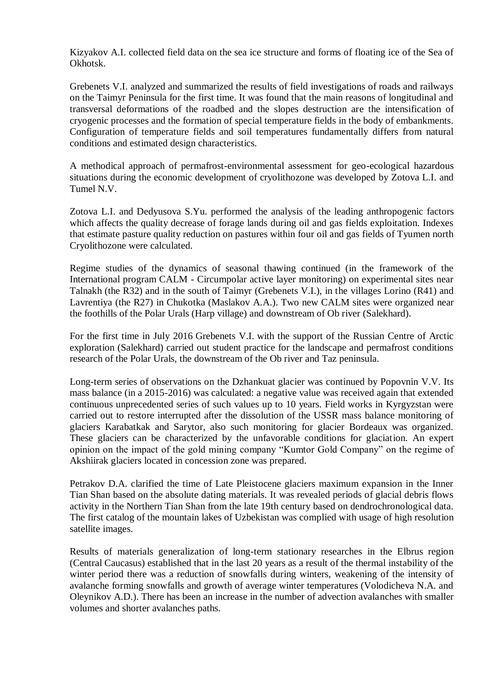Kizyakov A.I. collected field data on the sea ice structure and forms of floating ice of the Sea of Okhotsk.

Grebenets V.I. analyzed and summarized the results of field investigations of roads and railways on the Taimyr Peninsula for the first time. It was found that the main reasons of longitudinal and transversal deformations of the roadbed and the slopes destruction are the intensification of cryogenic processes and the formation of special temperature fields in the body of embankments. Configuration of temperature fields and soil temperatures fundamentally differs from natural conditions and estimated design characteristics.

A methodical approach of permafrost-environmental assessment for geo-ecological hazardous situations during the economic development of cryolithozone was developed by Zotova L.I. and Tumel N.V.

Zotova L.I. and Dedyusova S.Yu. performed the analysis of the leading anthropogenic factors which affects the quality decrease of forage lands during oil and gas fields exploitation. Indexes that estimate pasture quality reduction on pastures within four oil and gas fields of Tyumen north Cryolithozone were calculated.

Regime studies of the dynamics of seasonal thawing continued (in the framework of the International program CALM - Circumpolar active layer monitoring) on experimental sites near Talnakh (the R32) and in the south of Taimyr (Grebenets V.I.), in the villages Lorino (R41) and Lavrentiya (the R27) in Chukotka (Maslakov A.A.). Two new CALM sites were organized near the foothills of the Polar Urals (Harp village) and downstream of Ob river (Salekhard).

For the first time in July 2016 Grebenets V.I. with the support of the Russian Centre of Arctic exploration (Salekhard) carried out student practice for the landscape and permafrost conditions research of the Polar Urals, the downstream of the Ob river and Taz peninsula.

Long-term series of observations on the Dzhankuat glacier was continued by Popovnin V.V. Its mass balance (in a 2015-2016) was calculated: a negative value was received again that extended continuous unprecedented series of such values up to 10 years. Field works in Kyrgyzstan were carried out to restore interrupted after the dissolution of the USSR mass balance monitoring of glaciers Karabatkak and Sarytor, also such monitoring for glacier Bordeaux was organized. These glaciers can be characterized by the unfavorable conditions for glaciation. An expert opinion on the impact of the gold mining company "Kumtor Gold Company" on the regime of Akshiirak glaciers located in concession zone was prepared.

Petrakov D.A. clarified the time of Late Pleistocene glaciers maximum expansion in the Inner Tian Shan based on the absolute dating materials. It was revealed periods of glacial debris flows activity in the Northern Tian Shan from the late 19th century based on dendrochronological data. The first catalog of the mountain lakes of Uzbekistan was complied with usage of high resolution satellite images.

Results of materials generalization of long-term stationary researches in the Elbrus region (Central Caucasus) established that in the last 20 years as a result of the thermal instability of the winter period there was a reduction of snowfalls during winters, weakening of the intensity of avalanche forming snowfalls and growth of average winter temperatures (Volodicheva N.A. and Oleynikov A.D.). There has been an increase in the number of advection avalanches with smaller volumes and shorter avalanches paths.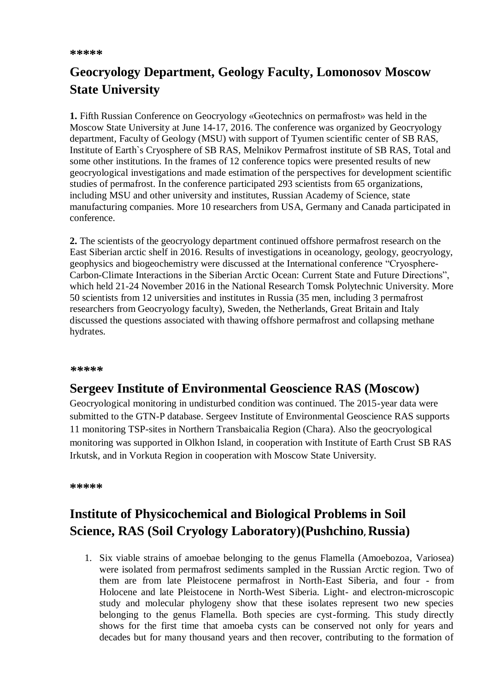# **Geocryology Department, Geology Faculty, Lomonosov Moscow State University**

**1.** Fifth Russian Conference on Geocryology «Geotechnics on permafrost» was held in the Moscow State University at June 14-17, 2016. The conference was organized by Geocryology department, Faculty of Geology (MSU) with support of Tyumen scientific center of SB RAS, Institute of Earth`s Cryosphere of SB RAS, Melnikov Permafrost institute of SB RAS, Total and some other institutions. In the frames of 12 conference topics were presented results of new geocryological investigations and made estimation of the perspectives for development scientific studies of permafrost. In the conference participated 293 scientists from 65 organizations, including MSU and other university and institutes, Russian Academy of Science, state manufacturing companies. More 10 researchers from USA, Germany and Canada participated in conference.

**2.** The scientists of the geocryology department continued offshore permafrost research on the East Siberian arctic shelf in 2016. Results of investigations in oceanology, geology, geocryology, geophysics and biogeochemistry were discussed at the International conference "Cryosphere-Carbon-Climate Interactions in the Siberian Arctic Ocean: Current State and Future Directions", which held 21-24 November 2016 in the National Research Tomsk Polytechnic University. More 50 scientists from 12 universities and institutes in Russia (35 men, including 3 permafrost researchers from Geocryology faculty), Sweden, the Netherlands, Great Britain and Italy discussed the questions associated with thawing offshore permafrost and collapsing methane hydrates.

#### *\*\*\*\*\**

# **Sergeev Institute of Environmental Geoscience RAS (Moscow)**

Geocryological monitoring in undisturbed condition was continued. The 2015-year data were submitted to the GTN-P database. Sergeev Institute of Environmental Geoscience RAS supports 11 monitoring TSP-sites in Northern Transbaicalia Region (Chara). Also the geocryological monitoring was supported in Olkhon Island, in cooperation with Institute of Earth Crust SB RAS Irkutsk, and in Vorkuta Region in cooperation with Moscow State University.

**\*\*\*\*\***

# **Institute of Physicochemical and Biological Problems in Soil Science, RAS (Soil Cryology Laboratory)(Pushchino, Russia)**

1. Six viable strains of amoebae belonging to the genus Flamella (Amoebozoa, Variosea) were isolated from permafrost sediments sampled in the Russian Arctic region. Two of them are from late Pleistocene permafrost in North-East Siberia, and four - from Holocene and late Pleistocene in North-West Siberia. Light- and electron-microscopic study and molecular phylogeny show that these isolates represent two new species belonging to the genus Flamella. Both species are cyst-forming. This study directly shows for the first time that amoeba cysts can be conserved not only for years and decades but for many thousand years and then recover, contributing to the formation of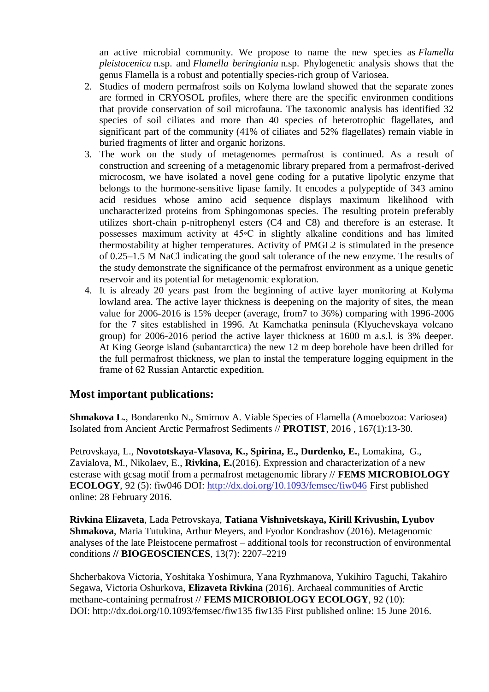an active microbial community. We propose to name the new species as *Flamella pleistocenica* n.sp. and *Flamella beringiania* n.sp. Phylogenetic analysis shows that the genus Flamella is a robust and potentially species-rich group of Variosea.

- 2. Studies of modern permafrost soils on Kolyma lowland showed that the separate zones are formed in CRYOSOL profiles, where there are the specific environmen conditions that provide conservation of soil microfauna. The taxonomic analysis has identified 32 species of soil ciliates and more than 40 species of heterotrophic flagellates, and significant part of the community (41% of ciliates and 52% flagellates) remain viable in buried fragments of litter and organic horizons.
- 3. The work on the study of metagenomes permafrost is continued. As a result of construction and screening of a metagenomic library prepared from a permafrost-derived microcosm, we have isolated a novel gene coding for a putative lipolytic enzyme that belongs to the hormone-sensitive lipase family. It encodes a polypeptide of 343 amino acid residues whose amino acid sequence displays maximum likelihood with uncharacterized proteins from Sphingomonas species. The resulting protein preferably utilizes short-chain p-nitrophenyl esters (C4 and C8) and therefore is an esterase. It possesses maximum activity at 45◦C in slightly alkaline conditions and has limited thermostability at higher temperatures. Activity of PMGL2 is stimulated in the presence of 0.25–1.5 M NaCl indicating the good salt tolerance of the new enzyme. The results of the study demonstrate the significance of the permafrost environment as a unique genetic reservoir and its potential for metagenomic exploration.
- 4. It is already 20 years past from the beginning of active layer monitoring at Kolyma lowland area. The active layer thickness is deepening on the majority of sites, the mean value for 2006-2016 is 15% deeper (average, from7 to 36%) comparing with 1996-2006 for the 7 sites established in 1996. At Kamchatka peninsula (Klyuchevskaya volcano group) for 2006-2016 period the active layer thickness at 1600 m a.s.l. is 3% deeper. At King George island (subantarctica) the new 12 m deep borehole have been drilled for the full permafrost thickness, we plan to instal the temperature logging equipment in the frame of 62 Russian Antarctic expedition.

## **Most important publications:**

**Shmakova L.**, Bondarenko N., Smirnov A. Viable Species of Flamella (Amoebozoa: Variosea) Isolated from Ancient Arctic Permafrost Sediments // **PROTIST**, 2016 , 167(1):13-30.

Petrovskaya, L., **Novototskaya-Vlasova, K., Spirina, E., Durdenko, E.**, Lomakina, G., Zavialova, M., Nikolaev, E., **Rivkina, E.**(2016). Expression and characterization of a new esterase with gcsag motif from a permafrost metagenomic library // **FEMS MICROBIOLOGY ECOLOGY**, 92 (5): fiw046 DOI: [http://dx.doi.org/10.1093/femsec/fiw046](https://clck.yandex.ru/redir/dv/*data=url%3Dhttp%253A%252F%252Fdx.doi.org%252F10.1093%252Ffemsec%252Ffiw046%26ts%3D1479255867%26uid%3D4488434631469999508&sign=dbd9d647763972228f2ba1fb977b7e6c&keyno=1) First published online: 28 February 2016.

**Rivkina Elizaveta**, Lada Petrovskaya, **Tatiana Vishnivetskaya, Kirill Krivushin, Lyubov Shmakova**, Maria Tutukina, Arthur Meyers, and Fyodor Kondrashov (2016). Metagenomic analyses of the late Pleistocene permafrost – additional tools for reconstruction of environmental conditions **// BIOGEOSCIENCES**, 13(7): 2207–2219

Shcherbakova Victoria, Yoshitaka Yoshimura, Yana Ryzhmanova, Yukihiro Taguchi, Takahiro Segawa, Victoria Oshurkova, **Elizaveta Rivkina** (2016). Archaeal communities of Arctic methane-containing permafrost // **FEMS MICROBIOLOGY ECOLOGY**, 92 (10): DOI: http://dx.doi.org/10.1093/femsec/fiw135 fiw135 First published online: 15 June 2016.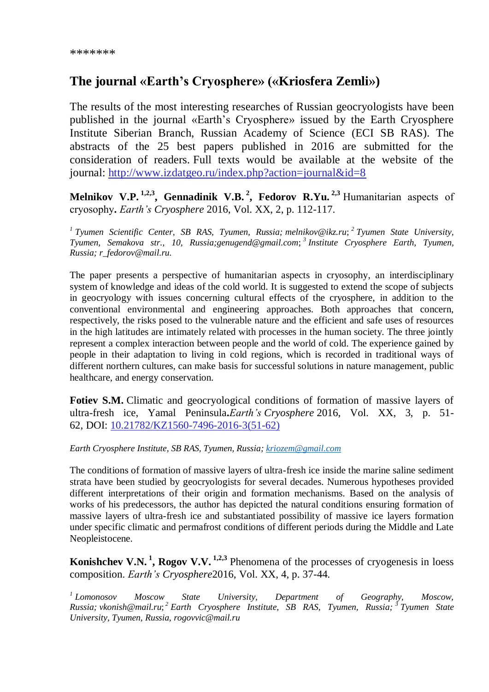# **The journal «Earth's Cryosphere» («Kriosfera Zemli»)**

The results of the most interesting researches of Russian geocryologists have been published in the journal «Earth's Cryosphere» issued by the Earth Cryosphere Institute Siberian Branch, Russian Academy of Science (ECI SB RAS). The abstracts of the 25 best papers published in 2016 are submitted for the consideration of readers. Full texts would be available at the website of the journal: [http://www.izdatgeo.ru/index.php?action=journal&id=8](https://clck.yandex.ru/redir/dv/*data=url%3Dhttp%253A%252F%252Fwww.izdatgeo.ru%252Findex.php%253Faction%253Djournal%2526id%253D8%26ts%3D1480807828%26uid%3D4488434631469999508&sign=a3573c9169f87768fbc022b11a1ab26f&keyno=1)

**Melnikov V.P. 1,2,3, Gennadinik V.B. <sup>2</sup> , Fedorov R.Yu. 2,3** Humanitarian аspects of сryosophy**.** *Earth's Cryosphere* 2016, Vol. XX, 2, p. 112-117.

*1 Tyumen Scientific Center, SB RAS, Tyumen, Russia; melnikov@ikz.ru*; *2 Tyumen State University, Tyumen, Semakova str., 10, Russia;genugend@gmail.com*; *3 Institute Cryosphere Earth, Tyumen, Russia; r\_fedorov@mail.ru.*

The paper presents a perspective of humanitarian aspects in cryosophy, an interdisciplinary system of knowledge and ideas of the cold world. It is suggested to extend the scope of subjects in geocryology with issues concerning cultural effects of the cryosphere, in addition to the conventional environmental and engineering approaches. Both approaches that concern, respectively, the risks posed to the vulnerable nature and the efficient and safe uses of resources in the high latitudes are intimately related with processes in the human society. The three jointly represent a complex interaction between people and the world of cold. The experience gained by people in their adaptation to living in cold regions, which is recorded in traditional ways of different northern cultures, can make basis for successful solutions in nature management, public healthcare, and energy conservation.

**Fotiev S.M.** Climatic and geocryological conditions of formation of massive layers of ultra-fresh ice, Yamal Peninsula**.***Earth's Cryosphere* 2016, Vol. XX, 3, p. 51- 62, DOI: [10.21782/KZ1560-7496-2016-3\(51-62\)](https://clck.yandex.ru/redir/dv/*data=url%3Dhttp%253A%252F%252Fdx.doi.org%252F10.21782%252FKZ1560-7496-2016-3(51-62)%26ts%3D1480807828%26uid%3D4488434631469999508&sign=942871d8aec081583c2fff427e6d7ebb&keyno=1)

*Earth Cryosphere Institute, SB RAS, Tyumen, Russia; [kriozem@gmail.com](mailto:kriozem@gmail.com)*

The conditions of formation of massive layers of ultra-fresh ice inside the marine saline sediment strata have been studied by geocryologists for several decades. Numerous hypotheses provided different interpretations of their origin and formation mechanisms. Based on the analysis of works of his predecessors, the author has depicted the natural conditions ensuring formation of massive layers of ultra-fresh ice and substantiated possibility of massive ice layers formation under specific climatic and permafrost conditions of different periods during the Middle and Late Neopleistocene.

**Konishchev V.N.<sup>1</sup>, Rogov V.V.** <sup>1,2,3</sup> Phenomena of the processes of cryogenesis in loess composition. *Earth's Cryosphere*2016, Vol. XX, 4, p. 37-44.

<sup>1</sup> Lomonosov *Lomonosov Moscow State University, Department of Geography, Moscow, Russia; vkonish@mail.ru*; *<sup>2</sup> Earth Cryosphere Institute, SB RAS, Tyumen, Russia; <sup>3</sup> Tyumen State University, Tyumen, Russia, rogovvic@mail.ru*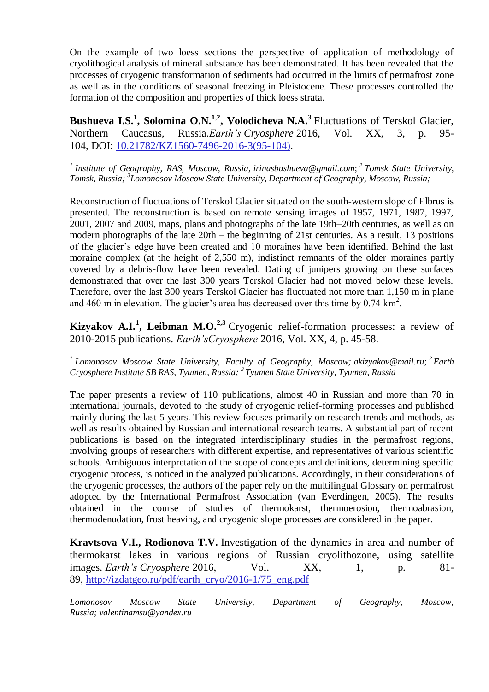On the example of two loess sections the perspective of application of methodology of cryolithogical analysis of mineral substance has been demonstrated. It has been revealed that the processes of cryogenic transformation of sediments had occurred in the limits of permafrost zone as well as in the conditions of seasonal freezing in Pleistocene. These processes controlled the formation of the composition and properties of thick loess strata.

**Bushueva I.S.<sup>1</sup>, Solomina O.N.<sup>1,2</sup>, Volodicheva N.A.<sup>3</sup> Fluctuations of Terskol Glacier,** Northern Caucasus, Russia.*Earth's Cryosphere* 2016, Vol. XX, 3, p. 95- 104, DOI: [10.21782/KZ1560-7496-2016-3\(95-104\).](https://clck.yandex.ru/redir/dv/*data=url%3Dhttp%253A%252F%252Fdx.doi.org%252F10.21782%252FKZ1560-7496-2016-3(95-104)%26ts%3D1480807828%26uid%3D4488434631469999508&sign=dd17af16ac92b90d4fa693e70e345e62&keyno=1)

*1 Institute of Geography, RAS, Moscow, Russia, irinasbushueva@gmail.com*; *2 Tomsk State University, Tomsk, Russia; <sup>3</sup> Lomonosov Moscow State University, Department of Geography, Moscow, Russia;*

Reconstruction of fluctuations of Terskol Glacier situated on the south-western slope of Elbrus is presented. The reconstruction is based on remote sensing images of 1957, 1971, 1987, 1997, 2001, 2007 and 2009, maps, plans and photographs of the late 19th–20th centuries, as well as on modern photographs of the late 20th – the beginning of 21st centuries. As a result, 13 positions of the glacier's edge have been created and 10 moraines have been identified. Behind the last moraine complex (at the height of 2,550 m), indistinct remnants of the older moraines partly covered by a debris-flow have been revealed. Dating of junipers growing on these surfaces demonstrated that over the last 300 years Terskol Glacier had not moved below these levels. Therefore, over the last 300 years Terskol Glacier has fluctuated not more than 1,150 m in plane and 460 m in elevation. The glacier's area has decreased over this time by  $0.74 \text{ km}^2$ .

**Kizyakov A.I.<sup>1</sup>, Leibman M.O.<sup>2,3</sup> Cryogenic relief-formation processes: a review of** 2010-2015 publications. *Earth'sCryosphere* 2016, Vol. XX, 4, p. 45-58.

*1 Lomonosov Moscow State University, Faculty of Geography, Moscow; akizyakov@mail.ru*; *<sup>2</sup> Earth Cryosphere Institute SB RAS, Tyumen, Russia; <sup>3</sup> Tyumen State University, Tyumen, Russia*

The paper presents a review of 110 publications, almost 40 in Russian and more than 70 in international journals, devoted to the study of cryogenic relief-forming processes and published mainly during the last 5 years. This review focuses primarily on research trends and methods, as well as results obtained by Russian and international research teams. A substantial part of recent publications is based on the integrated interdisciplinary studies in the permafrost regions, involving groups of researchers with different expertise, and representatives of various scientific schools. Ambiguous interpretation of the scope of concepts and definitions, determining specific cryogenic process, is noticed in the analyzed publications. Accordingly, in their considerations of the cryogenic processes, the authors of the paper rely on the multilingual Glossary on permafrost adopted by the International Permafrost Association (van Everdingen, 2005). The results obtained in the course of studies of thermokarst, thermoerosion, thermoabrasion, thermodenudation, frost heaving, and cryogenic slope processes are considered in the paper.

**Kravtsova V.I., Rodionova T.V.** Investigation of the dynamics in area and number of thermokarst lakes in various regions of Russian cryolithozone, using satellite images. *Earth's Cryosphere* 2016, Vol. XX, 1, p. 81- 89, [http://izdatgeo.ru/pdf/earth\\_cryo/2016-1/75\\_eng.pdf](https://clck.yandex.ru/redir/dv/*data=url%3Dhttp%253A%252F%252Fizdatgeo.ru%252Fpdf%252Fearth_cryo%252F2016-1%252F75_eng.pdf%26ts%3D1480807828%26uid%3D4488434631469999508&sign=010930fb82f9228ee8617f81c437a697&keyno=1)

*Lomonosov Moscow State University, Department of Geography, Moscow, Russia; valentinamsu@yandex.ru*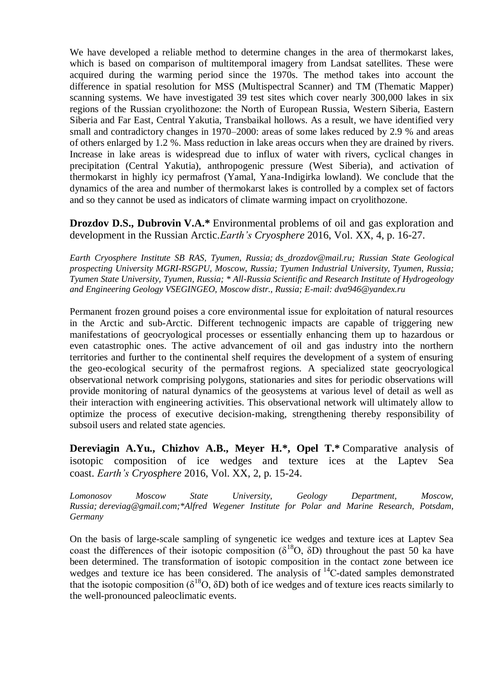We have developed a reliable method to determine changes in the area of thermokarst lakes, which is based on comparison of multitemporal imagery from Landsat satellites. These were acquired during the warming period since the 1970s. The method takes into account the difference in spatial resolution for MSS (Multispectral Scanner) and TM (Thematic Mapper) scanning systems. We have investigated 39 test sites which cover nearly 300,000 lakes in six regions of the Russian cryolithozone: the North of European Russia, Western Siberia, Eastern Siberia and Far East, Central Yakutia, Transbaikal hollows. As a result, we have identified very small and contradictory changes in 1970–2000: areas of some lakes reduced by 2.9 % and areas of others enlarged by 1.2 %. Mass reduction in lake areas occurs when they are drained by rivers. Increase in lake areas is widespread due to influx of water with rivers, cyclical changes in precipitation (Central Yakutia), anthropogenic pressure (West Siberia), and activation of thermokarst in highly icy permafrost (Yamal, Yana-Indigirka lowland). We conclude that the dynamics of the area and number of thermokarst lakes is controlled by a complex set of factors and so they cannot be used as indicators of climate warming impact on cryolithozone.

**Drozdov D.S., Dubrovin V.A.\*** Environmental problems of oil and gas exploration and development in the Russian Arctic.*Earth's Cryosphere* 2016, Vol. XX, 4, p. 16-27.

*Earth Cryosphere Institute SB RAS, Tyumen, Russia; ds\_drozdov@mail.ru; Russian State Geological prospecting University MGRI-RSGPU, Moscow, Russia; Tyumen Industrial University, Tyumen, Russia; Tyumen State University, Tyumen, Russia; \* All-Russia Scientific and Research Institute of Hydrogeology and Engineering Geology VSEGINGEO, Moscow distr., Russia; E-mail: dva946@yandex.ru*

Permanent frozen ground poises a core environmental issue for exploitation of natural resources in the Arctic and sub-Arctic. Different technogenic impacts are capable of triggering new manifestations of geocryological processes or essentially enhancing them up to hazardous or even catastrophic ones. The active advancement of oil and gas industry into the northern territories and further to the continental shelf requires the development of a system of ensuring the geo-ecological security of the permafrost regions. A specialized state geocryological observational network comprising polygons, stationaries and sites for periodic observations will provide monitoring of natural dynamics of the geosystems at various level of detail as well as their interaction with engineering activities. This observational network will ultimately allow to optimize the process of executive decision-making, strengthening thereby responsibility of subsoil users and related state agencies.

**Dereviagin A.Yu., Chizhov A.B., Meyer H.\*, Opel T.\*** Comparative analysis of isotopic composition of ice wedges and texture ices at the Laptev Sea coast. *Earth's Cryosphere* 2016, Vol. XX, 2, p. 15-24.

*Lomonosov Moscow State University, Geology Department, Moscow, Russia; dereviag@gmail.com;\*Alfred Wegener Institute for Polar and Marine Research, Potsdam, Germany*

On the basis of large-scale sampling of syngenetic ice wedges and texture ices at Laptev Sea coast the differences of their isotopic composition ( $\delta^{18}O$ ,  $\delta\bar{D}$ ) throughout the past 50 ka have been determined. The transformation of isotopic composition in the contact zone between ice wedges and texture ice has been considered. The analysis of  $^{14}$ C-dated samples demonstrated that the isotopic composition ( $\delta^{18}O$ ,  $\delta D$ ) both of ice wedges and of texture ices reacts similarly to the well-pronounced paleoclimatic events.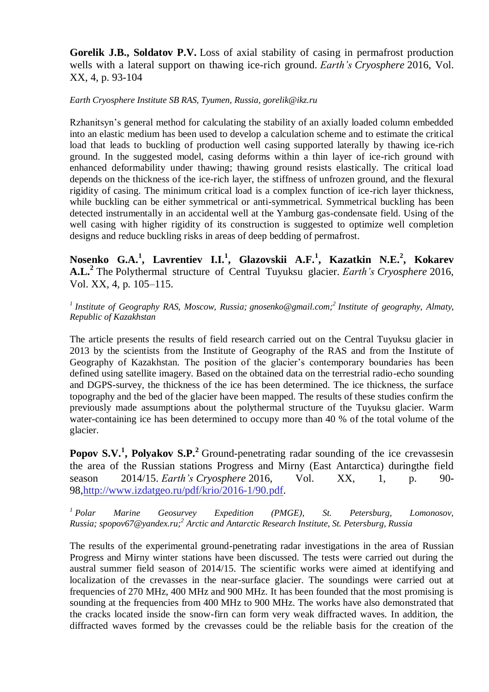**Gorelik J.B., Soldatov P.V.** Loss of axial stability of casing in permafrost production wells with a lateral support on thawing ice-rich ground. *Earth's Cryosphere* 2016, Vol. XX, 4, p. 93-104

*Earth Cryosphere Institute SB RAS, Tyumen, Russia, gorelik@ikz.ru*

Rzhanitsyn's general method for calculating the stability of an axially loaded column embedded into an elastic medium has been used to develop a calculation scheme and to estimate the critical load that leads to buckling of production well casing supported laterally by thawing ice-rich ground. In the suggested model, casing deforms within a thin layer of ice-rich ground with enhanced deformability under thawing; thawing ground resists elastically. The critical load depends on the thickness of the ice-rich layer, the stiffness of unfrozen ground, and the flexural rigidity of casing. The minimum critical load is a complex function of ice-rich layer thickness, while buckling can be either symmetrical or anti-symmetrical. Symmetrical buckling has been detected instrumentally in an accidental well at the Yamburg gas-condensate field. Using of the well casing with higher rigidity of its construction is suggested to optimize well completion designs and reduce buckling risks in areas of deep bedding of permafrost.

**Nosenko G.A.<sup>1</sup> , Lavrentiev I.I.<sup>1</sup> , Glazovskii A.F.<sup>1</sup> , Kazatkin N.E.<sup>2</sup> , Kokarev A.L.<sup>2</sup>** The Polythermal structure of Central Tuyuksu glacier. *Earth's Cryosphere* 2016, Vol. XX, 4, p. 105–115.

*1 Institute of Geography RAS, Moscow, Russia; gnosenko@gmail.com;<sup>2</sup> Institute of geography, Almaty, Republic of Kazakhstan*

The article presents the results of field research carried out on the Central Tuyuksu glacier in 2013 by the scientists from the Institute of Geography of the RAS and from the Institute of Geography of Kazakhstan. The position of the glacier's contemporary boundaries has been defined using satellite imagery. Based on the obtained data on the terrestrial radio-echo sounding and DGPS-survey, the thickness of the ice has been determined. The ice thickness, the surface topography and the bed of the glacier have been mapped. The results of these studies confirm the previously made assumptions about the polythermal structure of the Tuyuksu glacier. Warm water-containing ice has been determined to occupy more than 40 % of the total volume of the glacier.

**Popov S.V.<sup>1</sup>, Polyakov S.P.**<sup>2</sup> Ground-penetrating radar sounding of the ice crevassesin the area of the Russian stations Progress and Mirny (East Antarctica) duringthe field season 2014/15. *Earth's Cryosphere* 2016, Vol. XX, 1, p. 90- 98[,http://www.izdatgeo.ru/pdf/krio/2016-1/90.pdf.](https://clck.yandex.ru/redir/dv/*data=url%3Dhttp%253A%252F%252Fwww.izdatgeo.ru%252Fpdf%252Fkrio%252F2016-1%252F90.pdf%26ts%3D1480807828%26uid%3D4488434631469999508&sign=e6039e4744316f274c46d1ac1ac70f1f&keyno=1)

*<sup>1</sup> Polar Marine Geosurvey Expedition (PMGE), St. Petersburg, Lomonosov, Russia; spopov67@yandex.ru;<sup>2</sup> Arctic and Antarctic Research Institute, St. Petersburg, Russia*

The results of the experimental ground-penetrating radar investigations in the area of Russian Progress and Mirny winter stations have been discussed. The tests were carried out during the austral summer field season of 2014/15. The scientific works were aimed at identifying and localization of the crevasses in the near-surface glacier. The soundings were carried out at frequencies of 270 MHz, 400 MHz and 900 MHz. It has been founded that the most promising is sounding at the frequencies from 400 MHz to 900 MHz. The works have also demonstrated that the cracks located inside the snow-firn can form very weak diffracted waves. In addition, the diffracted waves formed by the crevasses could be the reliable basis for the creation of the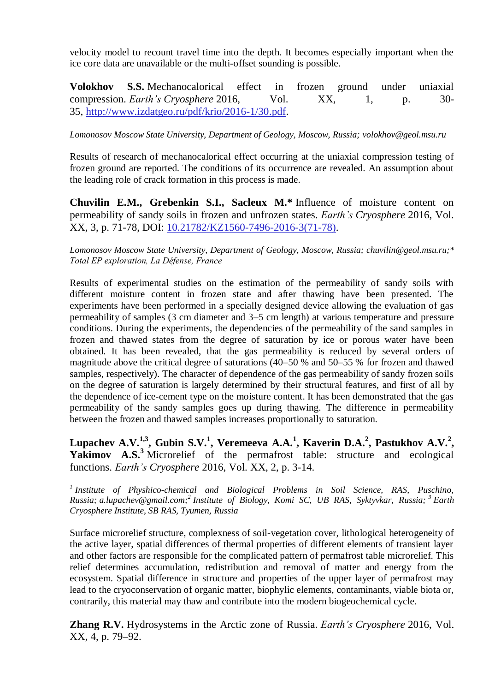velocity model to recount travel time into the depth. It becomes especially important when the ice core data are unavailable or the multi-offset sounding is possible.

**Volokhov S.S.** Mechanocalorical effect in frozen ground under uniaxial compression. *Earth's Cryosphere* 2016, Vol. XX, 1, p. 30-35, [http://www.izdatgeo.ru/pdf/krio/2016-1/30.pdf.](https://clck.yandex.ru/redir/dv/*data=url%3Dhttp%253A%252F%252Fwww.izdatgeo.ru%252Fpdf%252Fkrio%252F2016-1%252F30.pdf%26ts%3D1480807828%26uid%3D4488434631469999508&sign=25b84aa7ac53f954c0e43204db9d4891&keyno=1)

*Lomonosov Moscow State University, Department of Geology, Moscow, Russia; volokhov@geol.msu.ru*

Results of research of mechanocalorical effect occurring at the uniaxial compression testing of frozen ground are reported. The conditions of its occurrence are revealed. An assumption about the leading role of crack formation in this process is made.

**Chuvilin E.M., Grebenkin S.I., Sacleux M.\*** Influence of moisture content on permeability of sandy soils in frozen and unfrozen states. *Earth's Cryosphere* 2016, Vol. XX, 3, p. 71-78, DOI: [10.21782/KZ1560-7496-2016-3\(71-78\).](https://clck.yandex.ru/redir/dv/*data=url%3Dhttp%253A%252F%252Fdx.doi.org%252F10.21782%252FKZ1560-7496-2016-3(71-78)%26ts%3D1480807828%26uid%3D4488434631469999508&sign=381cfffabfd380a13fed04d112fda58d&keyno=1)

*Lomonosov Moscow State University, Department of Geology, Moscow, Russia; chuvilin@geol.msu.ru;\* Total EP exploration, La Défense, France*

Results of experimental studies on the estimation of the permeability of sandy soils with different moisture content in frozen state and after thawing have been presented. The experiments have been performed in a specially designed device allowing the evaluation of gas permeability of samples (3 cm diameter and 3–5 cm length) at various temperature and pressure conditions. During the experiments, the dependencies of the permeability of the sand samples in frozen and thawed states from the degree of saturation by ice or porous water have been obtained. It has been revealed, that the gas permeability is reduced by several orders of magnitude above the critical degree of saturations (40–50 % and 50–55 % for frozen and thawed samples, respectively). The character of dependence of the gas permeability of sandy frozen soils on the degree of saturation is largely determined by their structural features, and first of all by the dependence of ice-cement type on the moisture content. It has been demonstrated that the gas permeability of the sandy samples goes up during thawing. The difference in permeability between the frozen and thawed samples increases proportionally to saturation.

Lupachev A.V.<sup>1,3</sup>, Gubin S.V.<sup>1</sup>, Veremeeva A.A.<sup>1</sup>, Kaverin D.A.<sup>2</sup>, Pastukhov A.V.<sup>2</sup>, Yakimov A.S.<sup>3</sup> Microrelief of the permafrost table: structure and ecological functions. *Earth's Cryosphere* 2016, Vol. XX, 2, p. 3-14.

<sup>1</sup> Institute of Physhico-chemical and Biological Problems in Soil Science, RAS, Puschino, *Russia; a.lupachev@gmail.com;<sup>2</sup> Institute of Biology, Komi SC, UB RAS, Syktyvkar, Russia; <sup>3</sup> Earth Cryosphere Institute, SB RAS, Tyumen, Russia*

Surface microrelief structure, complexness of soil-vegetation cover, lithological heterogeneity of the active layer, spatial differences of thermal properties of different elements of transient layer and other factors are responsible for the complicated pattern of permafrost table microrelief. This relief determines accumulation, redistribution and removal of matter and energy from the ecosystem. Spatial difference in structure and properties of the upper layer of permafrost may lead to the cryoconservation of organic matter, biophylic elements, contaminants, viable biota or, contrarily, this material may thaw and contribute into the modern biogeochemical cycle.

**Zhang R.V.** Hydrosystems in the Arctic zone of Russia. *Earth's Cryosphere* 2016, Vol. XX, 4, p. 79–92.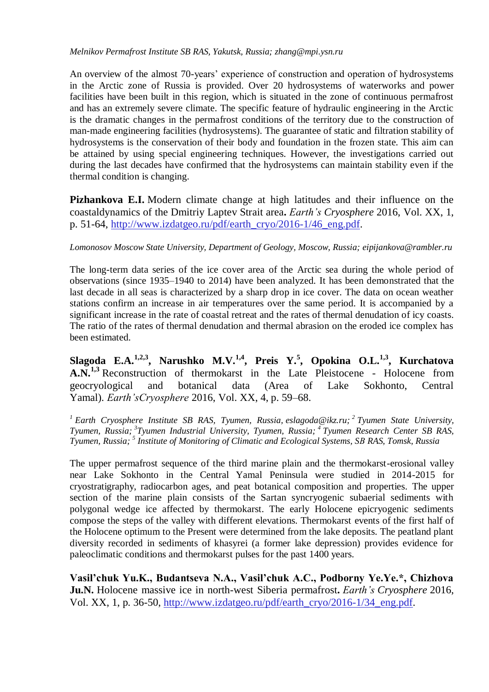*Melnikov Permafrost Institute SB RAS, Yakutsk, Russia; zhang@mpi.ysn.ru*

An overview of the almost 70-years' experience of construction and operation of hydrosystems in the Arctic zone of Russia is provided. Over 20 hydrosystems of waterworks and power facilities have been built in this region, which is situated in the zone of continuous permafrost and has an extremely severe climate. The specific feature of hydraulic engineering in the Arctic is the dramatic changes in the permafrost conditions of the territory due to the construction of man-made engineering facilities (hydrosystems). The guarantee of static and filtration stability of hydrosystems is the conservation of their body and foundation in the frozen state. This aim can be attained by using special engineering techniques. However, the investigations carried out during the last decades have confirmed that the hydrosystems can maintain stability even if the thermal condition is changing.

**Pizhankova E.I.** Modern climate change at high latitudes and their influence on the coastaldynamics of the Dmitriy Laptev Strait area**.** *Earth's Cryosphere* 2016, Vol. XX, 1, p. 51-64, [http://www.izdatgeo.ru/pdf/earth\\_cryo/2016-1/46\\_eng.pdf.](https://clck.yandex.ru/redir/dv/*data=url%3Dhttp%253A%252F%252Fwww.izdatgeo.ru%252Fpdf%252Fearth_cryo%252F2016-1%252F46_eng.pdf%26ts%3D1480807828%26uid%3D4488434631469999508&sign=ed0b4dadda00eb2fe493ce34eaf6ed11&keyno=1)

*Lomonosov Moscow State University, Department of Geology, Moscow, Russia; eipijankova@rambler.ru*

The long-term data series of the ice cover area of the Arctic sea during the whole period of observations (since 1935–1940 to 2014) have been analyzed. It has been demonstrated that the last decade in all seas is characterized by a sharp drop in ice cover. The data on ocean weather stations confirm an increase in air temperatures over the same period. It is accompanied by a significant increase in the rate of coastal retreat and the rates of thermal denudation of icy coasts. The ratio of the rates of thermal denudation and thermal abrasion on the eroded ice complex has been estimated.

**Slagoda E.A.1,2,3, Narushko M.V.1,4, Preis Y.<sup>5</sup> , Opokina O.L.1,3, Kurchatova A.N.1,3** Reconstruction of thermokarst in the Late Pleistocene - Holocene from geocryological and botanical data (Area of Lake Sokhonto, Central Yamal). *Earth'sCryosphere* 2016, Vol. XX, 4, p. 59–68.

*<sup>1</sup> Earth Cryosphere Institute SB RAS, Tyumen, Russia, eslagoda@ikz.ru; 2 Tyumen State University, Tyumen, Russia; <sup>3</sup> Tyumen Industrial University, Tyumen, Russia; <sup>4</sup> Tyumen Research Center SB RAS, Tyumen, Russia; <sup>5</sup> Institute of Monitoring of Climatic and Ecological Systems, SВ RAS, Tomsk, Russia*

The upper permafrost sequence of the third marine plain and the thermokarst-erosional valley near Lake Sokhonto in the Central Yamal Peninsula were studied in 2014-2015 for cryostratigraphy, radiocarbon ages, and peat botanical composition and properties. The upper section of the marine plain consists of the Sartan syncryogenic subaerial sediments with polygonal wedge ice affected by thermokarst. The early Holocene epicryogenic sediments compose the steps of the valley with different elevations. Thermokarst events of the first half of the Holocene optimum to the Present were determined from the lake deposits. The peatland plant diversity recorded in sediments of khasyrei (a former lake depression) provides evidence for paleoclimatic conditions and thermokarst pulses for the past 1400 years.

**Vasil'chuk Yu.K., Budantseva N.A., Vasil'chuk A.C., Podborny Ye.Ye.\*, Chizhova Ju.N.** Holocene massive ice in north-west Siberia permafrost**.** *Earth's Cryosphere* 2016, Vol. XX, 1, p. 36-50, [http://www.izdatgeo.ru/pdf/earth\\_cryo/2016-1/34\\_eng.pdf.](https://clck.yandex.ru/redir/dv/*data=url%3Dhttp%253A%252F%252Fwww.izdatgeo.ru%252Fpdf%252Fearth_cryo%252F2016-1%252F34_eng.pdf%26ts%3D1480807828%26uid%3D4488434631469999508&sign=f802f359776949ad96d23126625db8f3&keyno=1)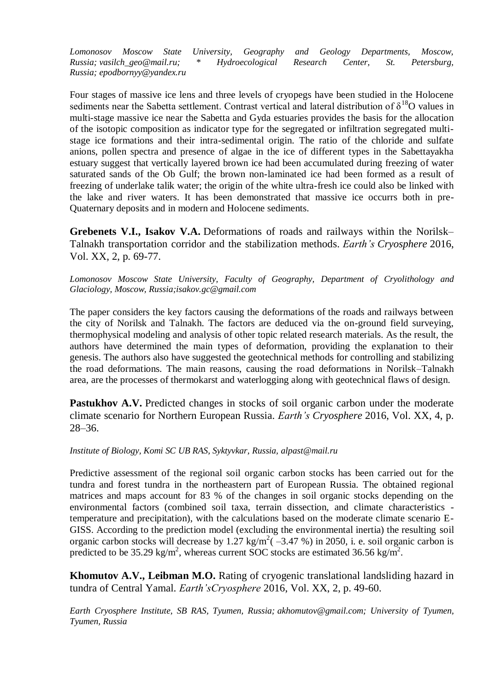*Lomonosov Moscow State University, Geography and Geology Departments, Moscow, Russia; vasilch\_geo@mail.ru; \* Hydroecological Research Center, St. Petersburg, Russia; epodbornyy@yandex.ru*

Four stages of massive ice lens and three levels of cryopegs have been studied in the Holocene sediments near the Sabetta settlement. Contrast vertical and lateral distribution of  $\delta^{18}O$  values in multi-stage massive ice near the Sabetta and Gyda estuaries provides the basis for the allocation of the isotopic composition as indicator type for the segregated or infiltration segregated multistage ice formations and their intra-sedimental origin. The ratio of the chloride and sulfate anions, pollen spectra and presence of algae in the ice of different types in the Sabettayakha estuary suggest that vertically layered brown ice had been accumulated during freezing of water saturated sands of the Ob Gulf; the brown non-laminated ice had been formed as a result of freezing of underlake talik water; the origin of the white ultra-fresh ice could also be linked with the lake and river waters. It has been demonstrated that massive ice occurrs both in pre-Quaternary deposits and in modern and Holocene sediments.

**Grebenets V.I., Isakov V.A.** Deformations of roads and railways within the Norilsk– Talnakh transportation corridor and the stabilization methods. *Earth's Cryosphere* 2016, Vol. XX, 2, p. 69-77.

*Lomonosov Moscow State University, Faculty of Geography, Department of Cryolithology and Glaciology, Moscow, Russia;isakov.gc@gmail.com*

The paper considers the key factors causing the deformations of the roads and railways between the city of Norilsk and Talnakh. The factors are deduced via the on-ground field surveying, thermophysical modeling and analysis of other topic related research materials. As the result, the authors have determined the main types of deformation, providing the explanation to their genesis. The authors also have suggested the geotechnical methods for controlling and stabilizing the road deformations. The main reasons, causing the road deformations in Norilsk–Talnakh area, are the processes of thermokarst and waterlogging along with geotechnical flaws of design.

**Pastukhov A.V.** Predicted changes in stocks of soil organic carbon under the moderate climate scenario for Northern European Russia. *Earth's Cryosphere* 2016, Vol. XX, 4, p. 28–36.

*Institute of Biology, Komi SC UB RAS, Syktyvkar, Russia, alpast@mail.ru*

Predictive assessment of the regional soil organic carbon stocks has been carried out for the tundra and forest tundra in the northeastern part of European Russia. The obtained regional matrices and maps account for 83 % of the changes in soil organic stocks depending on the environmental factors (combined soil taxa, terrain dissection, and climate characteristics temperature and precipitation), with the calculations based on the moderate climate scenario E-GISS. According to the prediction model (excluding the environmental inertia) the resulting soil organic carbon stocks will decrease by 1.27 kg/m<sup>2</sup>( $-3.47$ %) in 2050, i. e. soil organic carbon is predicted to be 35.29 kg/m<sup>2</sup>, whereas current SOC stocks are estimated 36.56 kg/m<sup>2</sup>.

**Khomutov A.V., Leibman M.O.** Rating of cryogenic translational landsliding hazard in tundra of Central Yamal. *Earth'sCryosphere* 2016, Vol. XX, 2, p. 49-60.

*Earth Cryosphere Institute, SB RAS, Tyumen, Russia; akhomutov@gmail.com; University of Tyumen, Tyumen, Russia*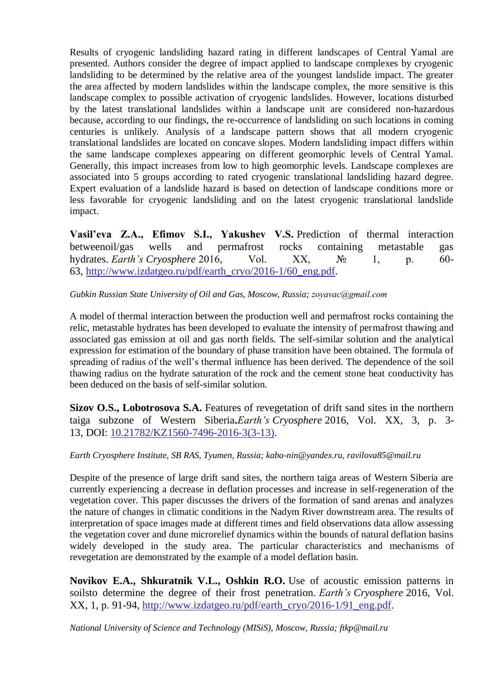Results of cryogenic landsliding hazard rating in different landscapes of Central Yamal are presented. Authors consider the degree of impact applied to landscape complexes by cryogenic landsliding to be determined by the relative area of the youngest landslide impact. The greater the area affected by modern landslides within the landscape complex, the more sensitive is this landscape complex to possible activation of cryogenic landslides. However, locations disturbed by the latest translational landslides within a landscape unit are considered non-hazardous because, according to our findings, the re-occurrence of landsliding on such locations in coming centuries is unlikely. Analysis of a landscape pattern shows that all modern cryogenic translational landslides are located on concave slopes. Modern landsliding impact differs within the same landscape complexes appearing on different geomorphic levels of Central Yamal. Generally, this impact increases from low to high geomorphic levels. Landscape complexes are associated into 5 groups according to rated cryogenic translational landsliding hazard degree. Expert evaluation of a landslide hazard is based on detection of landscape conditions more or less favorable for cryogenic landsliding and on the latest cryogenic translational landslide impact.

**Vasil'eva Z.A., Efimov S.I., Yakushev V.S.** Prediction of thermal interaction betweenoil/gas wells and permafrost rocks containing metastable gas hydrates. *Earth's Cryosphere* 2016, Vol. XX, № 1, p. 60- 63, [http://www.izdatgeo.ru/pdf/earth\\_cryo/2016-1/60\\_eng.pdf.](https://clck.yandex.ru/redir/dv/*data=url%3Dhttp%253A%252F%252Fwww.izdatgeo.ru%252Fpdf%252Fearth_cryo%252F2016-1%252F60_eng.pdf%26ts%3D1480807828%26uid%3D4488434631469999508&sign=61f4095ca660e1581d3a4b79948ea336&keyno=1)

#### *Gubkin Russian State University of Oil and Gas, Moscow, Russia; zoyavaс@gmail.com*

A model of thermal interaction between the production well and permafrost rocks containing the relic, metastable hydrates has been developed to evaluate the intensity of permafrost thawing and associated gas emission at oil and gas north fields. The self-similar solution and the analytical expression for estimation of the boundary of phase transition have been obtained. The formula of spreading of radius of the well's thermal influence has been derived. The dependence of the soil thawing radius on the hydrate saturation of the rock and the cement stone heat conductivity has been deduced on the basis of self-similar solution.

**Sizov O.S., Lobotrosova S.A.** Features of revegetation of drift sand sites in the northern taiga subzone of Western Siberia**.***Earth's Cryosphere* 2016, Vol. XX, 3, p. 3- 13, DOI: [10.21782/KZ1560-7496-2016-3\(3-13\).](https://clck.yandex.ru/redir/dv/*data=url%3Dhttp%253A%252F%252Fdx.doi.org%252F10.21782%252FKZ1560-7496-2016-3(3-13)%26ts%3D1480807828%26uid%3D4488434631469999508&sign=6f7780abcac504194b6cb5c2b8044224&keyno=1)

#### *Earth Cryosphere Institute, SB RAS, Tyumen, Russia; kaba-nin@yandex.ru, ravilova85@mail.ru*

Despite of the presence of large drift sand sites, the northern taiga areas of Western Siberia are currently experiencing a decrease in deflation processes and increase in self-regeneration of the vegetation cover. This paper discusses the drivers of the formation of sand arenas and analyzes the nature of changes in climatic conditions in the Nadym River downstream area. The results of interpretation of space images made at different times and field observations data allow assessing the vegetation cover and dune microrelief dynamics within the bounds of natural deflation basins widely developed in the study area. The particular characteristics and mechanisms of revegetation are demonstrated by the example of a model deflation basin.

**Novikov E.A., Shkuratnik V.L., Oshkin R.O.** Use of acoustic emission patterns in soilsto determine the degree of their frost penetration. *Earth's Cryosphere* 2016, Vol. XX, 1, p. 91-94, [http://www.izdatgeo.ru/pdf/earth\\_cryo/2016-1/91\\_eng.pdf.](https://clck.yandex.ru/redir/dv/*data=url%3Dhttp%253A%252F%252Fwww.izdatgeo.ru%252Fpdf%252Fearth_cryo%252F2016-1%252F91_eng.pdf%26ts%3D1480807828%26uid%3D4488434631469999508&sign=1bcd8faf95f1b824c75494424743b5d1&keyno=1)

*National University of Science and Technology (MISiS), Moscow, Russia; ftkp@mail.ru*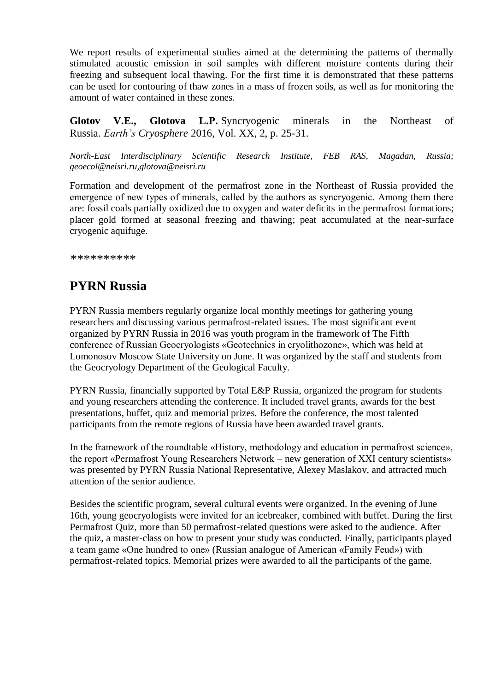We report results of experimental studies aimed at the determining the patterns of thermally stimulated acoustic emission in soil samples with different moisture contents during their freezing and subsequent local thawing. For the first time it is demonstrated that these patterns can be used for contouring of thaw zones in a mass of frozen soils, as well as for monitoring the amount of water contained in these zones.

**Glotov V.E., Glotova L.P.** Syncryogenic minerals in the Northeast of Russia. *Earth's Cryosphere* 2016, Vol. XX, 2, p. 25-31.

*North-East Interdisciplinary Scientific Research Institute, FEB RAS, Magadan, Russia; geoecol@neisri.ru,glotova@neisri.ru*

Formation and development of the permafrost zone in the Northeast of Russia provided the emergence of new types of minerals, called by the authors as syncryogeniс. Among them there are: fossil coals partially oxidized due to oxygen and water deficits in the permafrost formations; placer gold formed at seasonal freezing and thawing; peat accumulated at the near-surface cryogenic aquifuge.

*\*\*\*\*\*\*\*\*\*\**

# **PYRN Russia**

PYRN Russia members regularly organize local monthly meetings for gathering young researchers and discussing various permafrost-related issues. The most significant event organized by PYRN Russia in 2016 was youth program in the framework of The Fifth conference of Russian Geocryologists «Geotechnics in cryolithozone», which was held at Lomonosov Moscow State University on June. It was organized by the staff and students from the Geocryology Department of the Geological Faculty.

PYRN Russia, financially supported by Total E&P Russia, organized the program for students and young researchers attending the conference. It included travel grants, awards for the best presentations, buffet, quiz and memorial prizes. Before the conference, the most talented participants from the remote regions of Russia have been awarded travel grants.

In the framework of the roundtable «History, methodology and education in permafrost science», the report «Permafrost Young Researchers Network – new generation of XXI century scientists» was presented by PYRN Russia National Representative, Alexey Maslakov, and attracted much attention of the senior audience.

Besides the scientific program, several cultural events were organized. In the evening of June 16th, young geocryologists were invited for an icebreaker, combined with buffet. During the first Permafrost Quiz, more than 50 permafrost-related questions were asked to the audience. After the quiz, a master-class on how to present your study was conducted. Finally, participants played a team game «One hundred to one» (Russian analogue of American «Family Feud») with permafrost-related topics. Memorial prizes were awarded to all the participants of the game.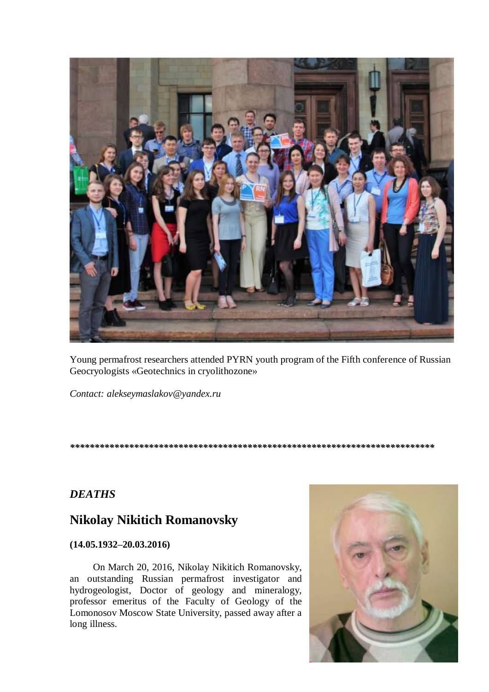

Young permafrost researchers attended PYRN youth program of the Fifth conference of Russian Geocryologists «Geotechnics in cryolithozone»

*Contact: alekseymaslakov@yandex.ru*

#### *\*\*\*\*\*\*\*\*\*\*\*\*\*\*\*\*\*\*\*\*\*\*\*\*\*\*\*\*\*\*\*\*\*\*\*\*\*\*\*\*\*\*\*\*\*\*\*\*\*\*\*\*\*\*\*\*\*\*\*\*\*\*\*\*\*\*\*\*\*\*\*\*\*\**

## *DEATHS*

## **Nikolay Nikitich Romanovsky**

### **(14.05.1932–20.03.2016)**

On March 20, 2016, Nikolay Nikitich Romanovsky, an outstanding Russian permafrost investigator and hydrogeologist, Doctor of geology and mineralogy, professor emeritus of the Faculty of Geology of the Lomonosov Moscow State University, passed away after a long illness.

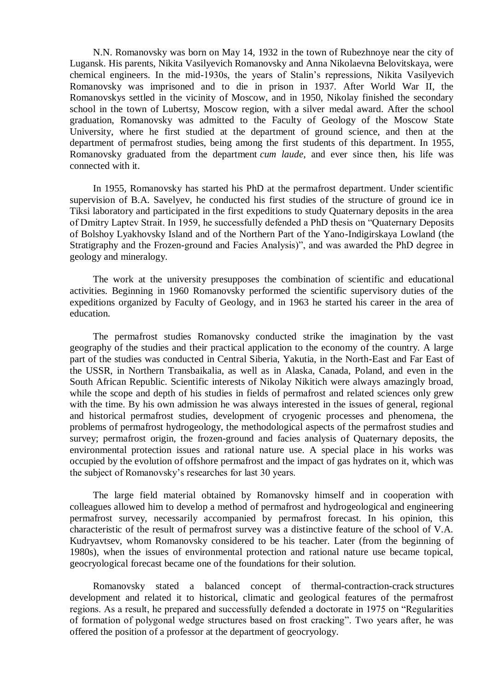N.N. Romanovsky was born on May 14, 1932 in the town of Rubezhnoye near the city of Lugansk. His parents, Nikita Vasilyevich Romanovsky and Anna Nikolaevna Belovitskaya, were chemical engineers. In the mid-1930s, the years of Stalin's repressions, Nikita Vasilyevich Romanovsky was imprisoned and to die in prison in 1937. After World War II, the Romanovskys settled in the vicinity of Moscow, and in 1950, Nikolay finished the secondary school in the town of Lubertsy, Moscow region, with a silver medal award. After the school graduation, Romanovsky was admitted to the Faculty of Geology of the Moscow State University, where he first studied at the department of ground science, and then at the department of permafrost studies, being among the first students of this department. In 1955, Romanovsky graduated from the department *cum laude*, and ever since then, his life was connected with it.

In 1955, Romanovsky has started his PhD at the permafrost department. Under scientific supervision of B.A. Savelyev, he conducted his first studies of the structure of ground ice in Tiksi laboratory and participated in the first expeditions to study Quaternary deposits in the area of Dmitry Laptev Strait. In 1959, he successfully defended a PhD thesis on "Quaternary Deposits of Bolshoy Lyakhovsky Island and of the Northern Part of the Yano-Indigirskaya Lowland (the Stratigraphy and the Frozen-ground and Facies Analysis)", and was awarded the PhD degree in geology and mineralogy.

The work at the university presupposes the combination of scientific and educational activities. Beginning in 1960 Romanovsky performed the scientific supervisory duties of the expeditions organized by Faculty of Geology, and in 1963 he started his career in the area of education.

The permafrost studies Romanovsky conducted strike the imagination by the vast geography of the studies and their practical application to the economy of the country. A large part of the studies was conducted in Central Siberia, Yakutia, in the North-East and Far East of the USSR, in Northern Transbaikalia, as well as in Alaska, Canada, Poland, and even in the South African Republic. Scientific interests of Nikolay Nikitich were always amazingly broad, while the scope and depth of his studies in fields of permafrost and related sciences only grew with the time. By his own admission he was always interested in the issues of general, regional and historical permafrost studies, development of cryogenic processes and phenomena, the problems of permafrost hydrogeology, the methodological aspects of the permafrost studies and survey; permafrost origin, the frozen-ground and facies analysis of Quaternary deposits, the environmental protection issues and rational nature use. A special place in his works was occupied by the evolution of offshore permafrost and the impact of gas hydrates on it, which was the subject of Romanovsky's researches for last 30 years.

The large field material obtained by Romanovsky himself and in cooperation with colleagues allowed him to develop a method of permafrost and hydrogeological and engineering permafrost survey, necessarily accompanied by permafrost forecast. In his opinion, this characteristic of the result of permafrost survey was a distinctive feature of the school of V.A. Kudryavtsev, whom Romanovsky considered to be his teacher. Later (from the beginning of 1980s), when the issues of environmental protection and rational nature use became topical, geocryological forecast became one of the foundations for their solution.

Romanovsky stated a balanced concept of thermal-contraction-crack structures development and related it to historical, climatic and geological features of the permafrost regions. As a result, he prepared and successfully defended a doctorate in 1975 on "Regularities of formation of polygonal wedge structures based on frost cracking". Two years after, he was offered the position of a professor at the department of geocryology.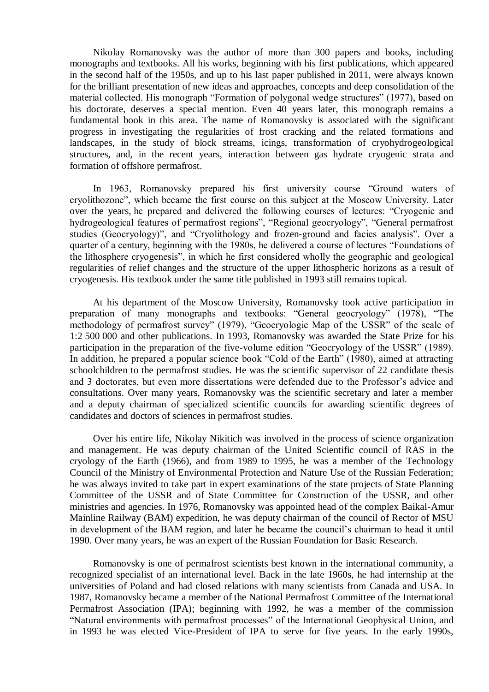Nikolay Romanovsky was the author of more than 300 papers and books, including monographs and textbooks. All his works, beginning with his first publications, which appeared in the second half of the 1950s, and up to his last paper published in 2011, were always known for the brilliant presentation of new ideas and approaches, concepts and deep consolidation of the material collected. His monograph "Formation of polygonal wedge structures" (1977), based on his doctorate, deserves a special mention. Even 40 years later, this monograph remains a fundamental book in this area. The name of Romanovsky is associated with the significant progress in investigating the regularities of frost cracking and the related formations and landscapes, in the study of block streams, icings, transformation of cryohydrogeological structures, and, in the recent years, interaction between gas hydrate cryogenic strata and formation of offshore permafrost.

In 1963, Romanovsky prepared his first university course "Ground waters of cryolithozone", which became the first course on this subject at the Moscow University. Later over the years, he prepared and delivered the following courses of lectures: "Cryogenic and hydrogeological features of permafrost regions", "Regional geocryology", "General permafrost studies (Geocryology)", and "Cryolithology and frozen-ground and facies analysis". Over a quarter of a century, beginning with the 1980s, he delivered a course of lectures "Foundations of the lithosphere cryogenesis", in which he first considered wholly the geographic and geological regularities of relief changes and the structure of the upper lithospheric horizons as a result of cryogenesis. His textbook under the same title published in 1993 still remains topical.

At his department of the Moscow University, Romanovsky took active participation in preparation of many monographs and textbooks: "General geocryology" (1978), "The methodology of permafrost survey" (1979), "Geocryologic Map of the USSR" of the scale of 1:2 500 000 and other publications. In 1993, Romanovsky was awarded the State Prize for his participation in the preparation of the five-volume edition "Geocryology of the USSR" (1989). In addition, he prepared a popular science book "Cold of the Earth" (1980), aimed at attracting schoolchildren to the permafrost studies. He was the scientific supervisor of 22 candidate thesis and 3 doctorates, but even more dissertations were defended due to the Professor's advice and consultations. Over many years, Romanovsky was the scientific secretary and later a member and a deputy chairman of specialized scientific councils for awarding scientific degrees of candidates and doctors of sciences in permafrost studies.

Over his entire life, Nikolay Nikitich was involved in the process of science organization and management. He was deputy chairman of the United Scientific council of RAS in the cryology of the Earth (1966), and from 1989 to 1995, he was a member of the Technology Council of the Ministry of Environmental Protection and Nature Use of the Russian Federation; he was always invited to take part in expert examinations of the state projects of State Planning Committee of the USSR and of State Committee for Construction of the USSR, and other ministries and agencies. In 1976, Romanovsky was appointed head of the complex Baikal-Amur Mainline Railway (BAM) expedition, he was deputy chairman of the council of Rector of MSU in development of the BAM region, and later he became the council's chairman to head it until 1990. Over many years, he was an expert of the Russian Foundation for Basic Research.

Romanovsky is one of permafrost scientists best known in the international community, a recognized specialist of an international level. Back in the late 1960s, he had internship at the universities of Poland and had closed relations with many scientists from Canada and USA. In 1987, Romanovsky became a member of the National Permafrost Committee of the International Permafrost Association (IPA); beginning with 1992, he was a member of the commission "Natural environments with permafrost processes" of the International Geophysical Union, and in 1993 he was elected Vice-President of IPA to serve for five years. In the early 1990s,